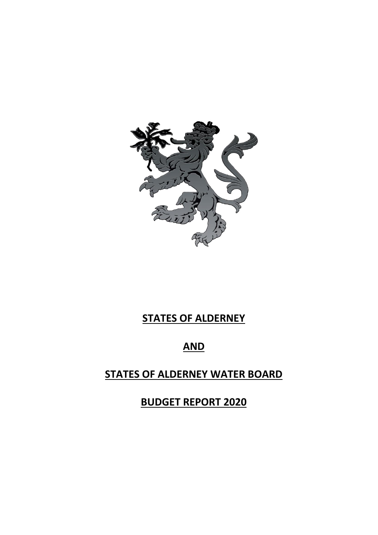

# **STATES OF ALDERNEY**

# **AND**

# **STATES OF ALDERNEY WATER BOARD**

**BUDGET REPORT 2020**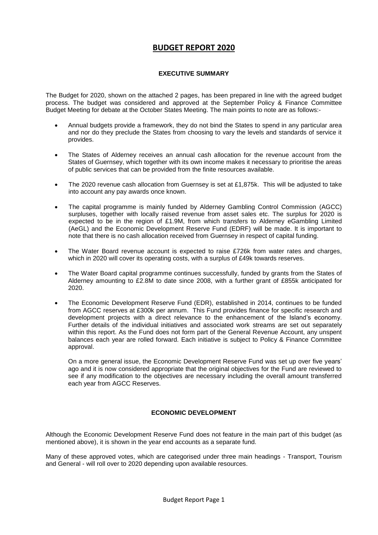# **BUDGET REPORT 2020**

# **EXECUTIVE SUMMARY**

The Budget for 2020, shown on the attached 2 pages, has been prepared in line with the agreed budget process. The budget was considered and approved at the September Policy & Finance Committee Budget Meeting for debate at the October States Meeting. The main points to note are as follows:-

- Annual budgets provide a framework, they do not bind the States to spend in any particular area and nor do they preclude the States from choosing to vary the levels and standards of service it provides.
- The States of Alderney receives an annual cash allocation for the revenue account from the States of Guernsey, which together with its own income makes it necessary to prioritise the areas of public services that can be provided from the finite resources available.
- The 2020 revenue cash allocation from Guernsey is set at £1,875k. This will be adjusted to take into account any pay awards once known.
- The capital programme is mainly funded by Alderney Gambling Control Commission (AGCC) surpluses, together with locally raised revenue from asset sales etc. The surplus for 2020 is expected to be in the region of £1.9M, from which transfers to Alderney eGambling Limited (AeGL) and the Economic Development Reserve Fund (EDRF) will be made. It is important to note that there is no cash allocation received from Guernsey in respect of capital funding.
- The Water Board revenue account is expected to raise £726k from water rates and charges, which in 2020 will cover its operating costs, with a surplus of £49k towards reserves.
- The Water Board capital programme continues successfully, funded by grants from the States of Alderney amounting to £2.8M to date since 2008, with a further grant of £855k anticipated for 2020.
- The Economic Development Reserve Fund (EDR), established in 2014, continues to be funded from AGCC reserves at £300k per annum. This Fund provides finance for specific research and development projects with a direct relevance to the enhancement of the Island's economy. Further details of the individual initiatives and associated work streams are set out separately within this report. As the Fund does not form part of the General Revenue Account, any unspent balances each year are rolled forward. Each initiative is subject to Policy & Finance Committee approval.

On a more general issue, the Economic Development Reserve Fund was set up over five years' ago and it is now considered appropriate that the original objectives for the Fund are reviewed to see if any modification to the objectives are necessary including the overall amount transferred each year from AGCC Reserves.

# **ECONOMIC DEVELOPMENT**

Although the Economic Development Reserve Fund does not feature in the main part of this budget (as mentioned above), it is shown in the year end accounts as a separate fund.

Many of these approved votes, which are categorised under three main headings - Transport, Tourism and General - will roll over to 2020 depending upon available resources.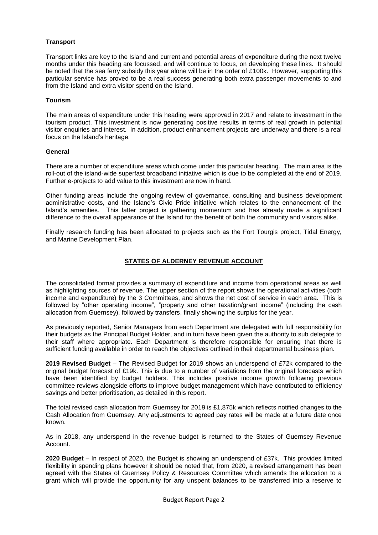# **Transport**

Transport links are key to the Island and current and potential areas of expenditure during the next twelve months under this heading are focussed, and will continue to focus, on developing these links. It should be noted that the sea ferry subsidy this year alone will be in the order of £100k. However, supporting this particular service has proved to be a real success generating both extra passenger movements to and from the Island and extra visitor spend on the Island.

### **Tourism**

The main areas of expenditure under this heading were approved in 2017 and relate to investment in the tourism product. This investment is now generating positive results in terms of real growth in potential visitor enquiries and interest. In addition, product enhancement projects are underway and there is a real focus on the Island's heritage.

#### **General**

There are a number of expenditure areas which come under this particular heading. The main area is the roll-out of the island-wide superfast broadband initiative which is due to be completed at the end of 2019. Further e-projects to add value to this investment are now in hand.

Other funding areas include the ongoing review of governance, consulting and business development administrative costs, and the Island's Civic Pride initiative which relates to the enhancement of the Island's amenities. This latter project is gathering momentum and has already made a significant difference to the overall appearance of the Island for the benefit of both the community and visitors alike.

Finally research funding has been allocated to projects such as the Fort Tourgis project, Tidal Energy, and Marine Development Plan.

# **STATES OF ALDERNEY REVENUE ACCOUNT**

The consolidated format provides a summary of expenditure and income from operational areas as well as highlighting sources of revenue. The upper section of the report shows the operational activities (both income and expenditure) by the 3 Committees, and shows the net cost of service in each area. This is followed by "other operating income", "property and other taxation/grant income" (including the cash allocation from Guernsey), followed by transfers, finally showing the surplus for the year.

As previously reported, Senior Managers from each Department are delegated with full responsibility for their budgets as the Principal Budget Holder, and in turn have been given the authority to sub delegate to their staff where appropriate. Each Department is therefore responsible for ensuring that there is sufficient funding available in order to reach the objectives outlined in their departmental business plan.

**2019 Revised Budget** – The Revised Budget for 2019 shows an underspend of £72k compared to the original budget forecast of £19k. This is due to a number of variations from the original forecasts which have been identified by budget holders. This includes positive income growth following previous committee reviews alongside efforts to improve budget management which have contributed to efficiency savings and better prioritisation, as detailed in this report.

The total revised cash allocation from Guernsey for 2019 is £1,875k which reflects notified changes to the Cash Allocation from Guernsey. Any adjustments to agreed pay rates will be made at a future date once known.

As in 2018, any underspend in the revenue budget is returned to the States of Guernsey Revenue Account.

**2020 Budget** – In respect of 2020, the Budget is showing an underspend of £37k. This provides limited flexibility in spending plans however it should be noted that, from 2020, a revised arrangement has been agreed with the States of Guernsey Policy & Resources Committee which amends the allocation to a grant which will provide the opportunity for any unspent balances to be transferred into a reserve to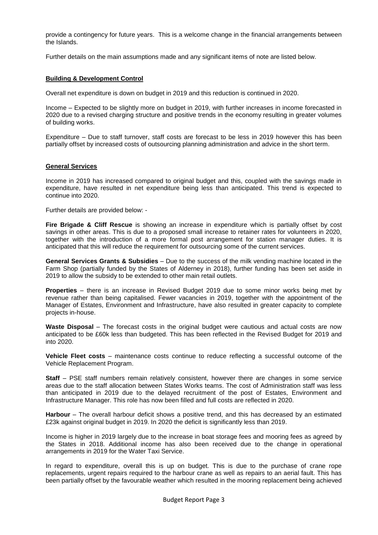provide a contingency for future years. This is a welcome change in the financial arrangements between the Islands.

Further details on the main assumptions made and any significant items of note are listed below.

# **Building & Development Control**

Overall net expenditure is down on budget in 2019 and this reduction is continued in 2020.

Income – Expected to be slightly more on budget in 2019, with further increases in income forecasted in 2020 due to a revised charging structure and positive trends in the economy resulting in greater volumes of building works.

Expenditure – Due to staff turnover, staff costs are forecast to be less in 2019 however this has been partially offset by increased costs of outsourcing planning administration and advice in the short term.

#### **General Services**

Income in 2019 has increased compared to original budget and this, coupled with the savings made in expenditure, have resulted in net expenditure being less than anticipated. This trend is expected to continue into 2020.

Further details are provided below: -

**Fire Brigade & Cliff Rescue** is showing an increase in expenditure which is partially offset by cost savings in other areas. This is due to a proposed small increase to retainer rates for volunteers in 2020, together with the introduction of a more formal post arrangement for station manager duties. It is anticipated that this will reduce the requirement for outsourcing some of the current services.

**General Services Grants & Subsidies** – Due to the success of the milk vending machine located in the Farm Shop (partially funded by the States of Alderney in 2018), further funding has been set aside in 2019 to allow the subsidy to be extended to other main retail outlets.

**Properties** – there is an increase in Revised Budget 2019 due to some minor works being met by revenue rather than being capitalised. Fewer vacancies in 2019, together with the appointment of the Manager of Estates, Environment and Infrastructure, have also resulted in greater capacity to complete projects in-house.

**Waste Disposal** – The forecast costs in the original budget were cautious and actual costs are now anticipated to be £60k less than budgeted. This has been reflected in the Revised Budget for 2019 and into 2020.

**Vehicle Fleet costs** – maintenance costs continue to reduce reflecting a successful outcome of the Vehicle Replacement Program.

**Staff** – PSE staff numbers remain relatively consistent, however there are changes in some service areas due to the staff allocation between States Works teams. The cost of Administration staff was less than anticipated in 2019 due to the delayed recruitment of the post of Estates, Environment and Infrastructure Manager. This role has now been filled and full costs are reflected in 2020.

**Harbour** – The overall harbour deficit shows a positive trend, and this has decreased by an estimated £23k against original budget in 2019. In 2020 the deficit is significantly less than 2019.

Income is higher in 2019 largely due to the increase in boat storage fees and mooring fees as agreed by the States in 2018. Additional income has also been received due to the change in operational arrangements in 2019 for the Water Taxi Service.

In regard to expenditure, overall this is up on budget. This is due to the purchase of crane rope replacements, urgent repairs required to the harbour crane as well as repairs to an aerial fault. This has been partially offset by the favourable weather which resulted in the mooring replacement being achieved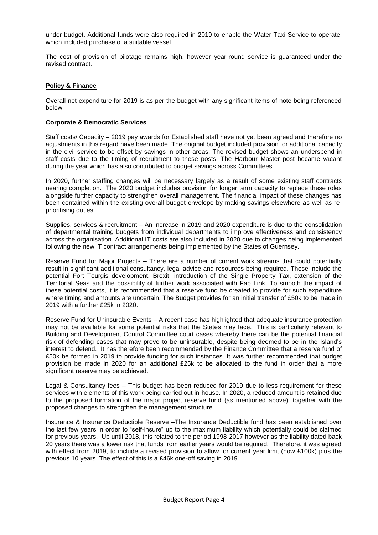under budget. Additional funds were also required in 2019 to enable the Water Taxi Service to operate, which included purchase of a suitable vessel.

The cost of provision of pilotage remains high, however year-round service is guaranteed under the revised contract.

#### **Policy & Finance**

Overall net expenditure for 2019 is as per the budget with any significant items of note being referenced below:-

#### **Corporate & Democratic Services**

Staff costs/ Capacity – 2019 pay awards for Established staff have not yet been agreed and therefore no adjustments in this regard have been made. The original budget included provision for additional capacity in the civil service to be offset by savings in other areas. The revised budget shows an underspend in staff costs due to the timing of recruitment to these posts. The Harbour Master post became vacant during the year which has also contributed to budget savings across Committees.

In 2020, further staffing changes will be necessary largely as a result of some existing staff contracts nearing completion. The 2020 budget includes provision for longer term capacity to replace these roles alongside further capacity to strengthen overall management. The financial impact of these changes has been contained within the existing overall budget envelope by making savings elsewhere as well as reprioritising duties.

Supplies, services & recruitment – An increase in 2019 and 2020 expenditure is due to the consolidation of departmental training budgets from individual departments to improve effectiveness and consistency across the organisation. Additional IT costs are also included in 2020 due to changes being implemented following the new IT contract arrangements being implemented by the States of Guernsey.

Reserve Fund for Major Projects – There are a number of current work streams that could potentially result in significant additional consultancy, legal advice and resources being required. These include the potential Fort Tourgis development, Brexit, introduction of the Single Property Tax, extension of the Territorial Seas and the possibility of further work associated with Fab Link. To smooth the impact of these potential costs, it is recommended that a reserve fund be created to provide for such expenditure where timing and amounts are uncertain. The Budget provides for an initial transfer of £50k to be made in 2019 with a further £25k in 2020.

Reserve Fund for Uninsurable Events – A recent case has highlighted that adequate insurance protection may not be available for some potential risks that the States may face. This is particularly relevant to Building and Development Control Committee court cases whereby there can be the potential financial risk of defending cases that may prove to be uninsurable, despite being deemed to be in the Island's interest to defend. It has therefore been recommended by the Finance Committee that a reserve fund of £50k be formed in 2019 to provide funding for such instances. It was further recommended that budget provision be made in 2020 for an additional £25k to be allocated to the fund in order that a more significant reserve may be achieved.

Legal & Consultancy fees – This budget has been reduced for 2019 due to less requirement for these services with elements of this work being carried out in-house. In 2020, a reduced amount is retained due to the proposed formation of the major project reserve fund (as mentioned above), together with the proposed changes to strengthen the management structure.

Insurance & Insurance Deductible Reserve –The Insurance Deductible fund has been established over the last few years in order to "self-insure" up to the maximum liability which potentially could be claimed for previous years. Up until 2018, this related to the period 1998-2017 however as the liability dated back 20 years there was a lower risk that funds from earlier years would be required. Therefore, it was agreed with effect from 2019, to include a revised provision to allow for current year limit (now £100k) plus the previous 10 years. The effect of this is a £46k one-off saving in 2019.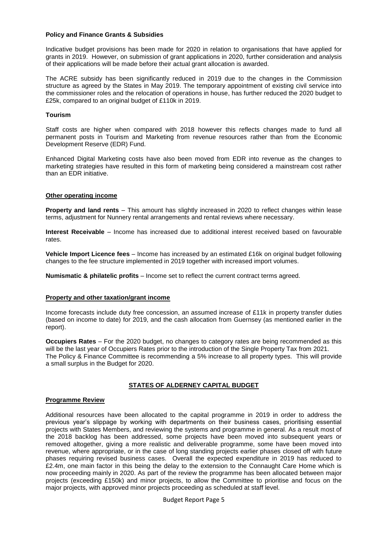#### **Policy and Finance Grants & Subsidies**

Indicative budget provisions has been made for 2020 in relation to organisations that have applied for grants in 2019. However, on submission of grant applications in 2020, further consideration and analysis of their applications will be made before their actual grant allocation is awarded.

The ACRE subsidy has been significantly reduced in 2019 due to the changes in the Commission structure as agreed by the States in May 2019. The temporary appointment of existing civil service into the commissioner roles and the relocation of operations in house, has further reduced the 2020 budget to £25k, compared to an original budget of £110k in 2019.

#### **Tourism**

Staff costs are higher when compared with 2018 however this reflects changes made to fund all permanent posts in Tourism and Marketing from revenue resources rather than from the Economic Development Reserve (EDR) Fund.

Enhanced Digital Marketing costs have also been moved from EDR into revenue as the changes to marketing strategies have resulted in this form of marketing being considered a mainstream cost rather than an EDR initiative.

#### **Other operating income**

**Property and land rents** – This amount has slightly increased in 2020 to reflect changes within lease terms, adjustment for Nunnery rental arrangements and rental reviews where necessary.

**Interest Receivable** – Income has increased due to additional interest received based on favourable rates.

**Vehicle Import Licence fees** – Income has increased by an estimated £16k on original budget following changes to the fee structure implemented in 2019 together with increased import volumes.

**Numismatic & philatelic profits** – Income set to reflect the current contract terms agreed.

# **Property and other taxation/grant income**

Income forecasts include duty free concession, an assumed increase of £11k in property transfer duties (based on income to date) for 2019, and the cash allocation from Guernsey (as mentioned earlier in the report).

**Occupiers Rates** – For the 2020 budget, no changes to category rates are being recommended as this will be the last year of Occupiers Rates prior to the introduction of the Single Property Tax from 2021. The Policy & Finance Committee is recommending a 5% increase to all property types. This will provide a small surplus in the Budget for 2020.

# **STATES OF ALDERNEY CAPITAL BUDGET**

#### **Programme Review**

Additional resources have been allocated to the capital programme in 2019 in order to address the previous year's slippage by working with departments on their business cases, prioritising essential projects with States Members, and reviewing the systems and programme in general. As a result most of the 2018 backlog has been addressed, some projects have been moved into subsequent years or removed altogether, giving a more realistic and deliverable programme, some have been moved into revenue, where appropriate, or in the case of long standing projects earlier phases closed off with future phases requiring revised business cases. Overall the expected expenditure in 2019 has reduced to £2.4m, one main factor in this being the delay to the extension to the Connaught Care Home which is now proceeding mainly in 2020. As part of the review the programme has been allocated between major projects (exceeding £150k) and minor projects, to allow the Committee to prioritise and focus on the major projects, with approved minor projects proceeding as scheduled at staff level.

Budget Report Page 5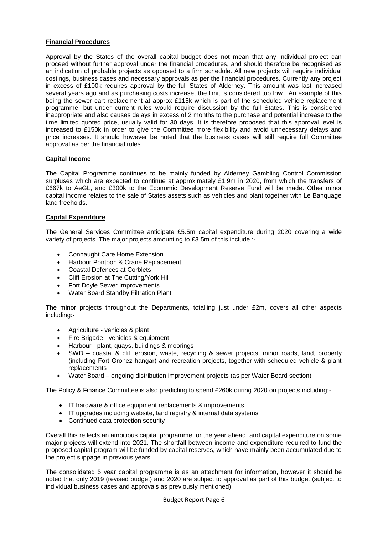# **Financial Procedures**

Approval by the States of the overall capital budget does not mean that any individual project can proceed without further approval under the financial procedures, and should therefore be recognised as an indication of probable projects as opposed to a firm schedule. All new projects will require individual costings, business cases and necessary approvals as per the financial procedures. Currently any project in excess of £100k requires approval by the full States of Alderney. This amount was last increased several years ago and as purchasing costs increase, the limit is considered too low. An example of this being the sewer cart replacement at approx £115k which is part of the scheduled vehicle replacement programme, but under current rules would require discussion by the full States. This is considered inappropriate and also causes delays in excess of 2 months to the purchase and potential increase to the time limited quoted price, usually valid for 30 days. It is therefore proposed that this approval level is increased to £150k in order to give the Committee more flexibility and avoid unnecessary delays and price increases. It should however be noted that the business cases will still require full Committee approval as per the financial rules.

#### **Capital Income**

The Capital Programme continues to be mainly funded by Alderney Gambling Control Commission surpluses which are expected to continue at approximately £1.9m in 2020, from which the transfers of £667k to AeGL, and £300k to the Economic Development Reserve Fund will be made. Other minor capital income relates to the sale of States assets such as vehicles and plant together with Le Banquage land freeholds.

#### **Capital Expenditure**

The General Services Committee anticipate £5.5m capital expenditure during 2020 covering a wide variety of projects. The major projects amounting to £3.5m of this include :-

- Connaught Care Home Extension
- Harbour Pontoon & Crane Replacement
- Coastal Defences at Corblets
- Cliff Erosion at The Cutting/York Hill
- Fort Doyle Sewer Improvements
- Water Board Standby Filtration Plant

The minor projects throughout the Departments, totalling just under £2m, covers all other aspects including:-

- Agriculture vehicles & plant
- Fire Brigade vehicles & equipment
- Harbour plant, quays, buildings & moorings
- SWD coastal & cliff erosion, waste, recycling & sewer projects, minor roads, land, property (including Fort Gronez hangar) and recreation projects, together with scheduled vehicle & plant replacements
- Water Board ongoing distribution improvement projects (as per Water Board section)

The Policy & Finance Committee is also predicting to spend £260k during 2020 on projects including:-

- IT hardware & office equipment replacements & improvements
- IT upgrades including website, land registry & internal data systems
- Continued data protection security

Overall this reflects an ambitious capital programme for the year ahead, and capital expenditure on some major projects will extend into 2021. The shortfall between income and expenditure required to fund the proposed capital program will be funded by capital reserves, which have mainly been accumulated due to the project slippage in previous years.

The consolidated 5 year capital programme is as an attachment for information, however it should be noted that only 2019 (revised budget) and 2020 are subject to approval as part of this budget (subject to individual business cases and approvals as previously mentioned).

Budget Report Page 6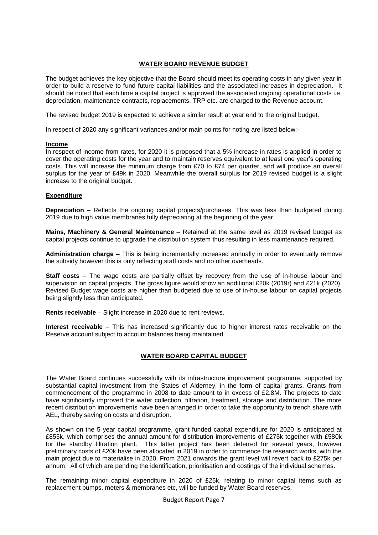# **WATER BOARD REVENUE BUDGET**

The budget achieves the key objective that the Board should meet its operating costs in any given year in order to build a reserve to fund future capital liabilities and the associated increases in depreciation. It should be noted that each time a capital project is approved the associated ongoing operational costs i.e. depreciation, maintenance contracts, replacements, TRP etc. are charged to the Revenue account.

The revised budget 2019 is expected to achieve a similar result at year end to the original budget.

In respect of 2020 any significant variances and/or main points for noting are listed below:-

#### **Income**

In respect of income from rates, for 2020 it is proposed that a 5% increase in rates is applied in order to cover the operating costs for the year and to maintain reserves equivalent to at least one year's operating costs. This will increase the minimum charge from £70 to £74 per quarter, and will produce an overall surplus for the year of £49k in 2020. Meanwhile the overall surplus for 2019 revised budget is a slight increase to the original budget.

#### **Expenditure**

**Depreciation** – Reflects the ongoing capital projects/purchases. This was less than budgeted during 2019 due to high value membranes fully depreciating at the beginning of the year.

**Mains, Machinery & General Maintenance** – Retained at the same level as 2019 revised budget as capital projects continue to upgrade the distribution system thus resulting in less maintenance required.

**Administration charge** – This is being incrementally increased annually in order to eventually remove the subsidy however this is only reflecting staff costs and no other overheads.

**Staff costs** – The wage costs are partially offset by recovery from the use of in-house labour and supervision on capital projects. The gross figure would show an additional £20k (2019r) and £21k (2020). Revised Budget wage costs are higher than budgeted due to use of in-house labour on capital projects being slightly less than anticipated.

**Rents receivable** – Slight increase in 2020 due to rent reviews.

**Interest receivable** – This has increased significantly due to higher interest rates receivable on the Reserve account subject to account balances being maintained.

# **WATER BOARD CAPITAL BUDGET**

The Water Board continues successfully with its infrastructure improvement programme, supported by substantial capital investment from the States of Alderney, in the form of capital grants. Grants from commencement of the programme in 2008 to date amount to in excess of £2.8M. The projects to date have significantly improved the water collection, filtration, treatment, storage and distribution. The more recent distribution improvements have been arranged in order to take the opportunity to trench share with AEL, thereby saving on costs and disruption.

As shown on the 5 year capital programme, grant funded capital expenditure for 2020 is anticipated at £855k, which comprises the annual amount for distribution improvements of £275k together with £580k for the standby filtration plant. This latter project has been deferred for several years, however preliminary costs of £20k have been allocated in 2019 in order to commence the research works, with the main project due to materialise in 2020. From 2021 onwards the grant level will revert back to £275k per annum. All of which are pending the identification, prioritisation and costings of the individual schemes.

The remaining minor capital expenditure in 2020 of £25k, relating to minor capital items such as replacement pumps, meters & membranes etc, will be funded by Water Board reserves.